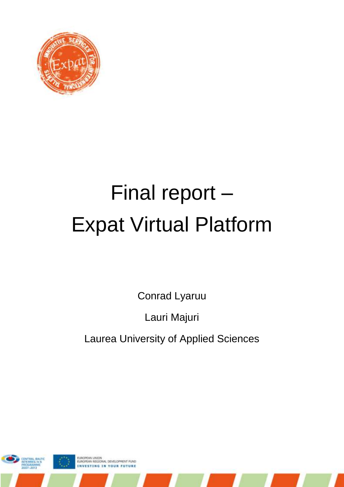

# Final report – Expat Virtual Platform

Conrad Lyaruu

Lauri Majuri

Laurea University of Applied Sciences

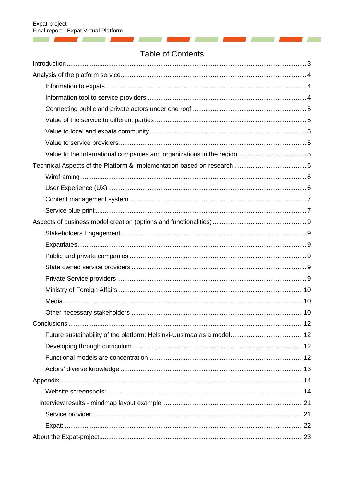and the control of the control of the control of the control of the control of the control of the control of the

## **Table of Contents**

V ü ×

**Contract Contract** 

and the contract of the contract of the contract of

| Introduction 3 |  |
|----------------|--|
|                |  |
|                |  |
|                |  |
|                |  |
|                |  |
|                |  |
|                |  |
|                |  |
|                |  |
|                |  |
|                |  |
|                |  |
|                |  |
|                |  |
|                |  |
|                |  |
|                |  |
|                |  |
|                |  |
|                |  |
|                |  |
|                |  |
|                |  |
|                |  |
|                |  |
|                |  |
|                |  |
|                |  |
|                |  |
|                |  |
|                |  |
|                |  |
|                |  |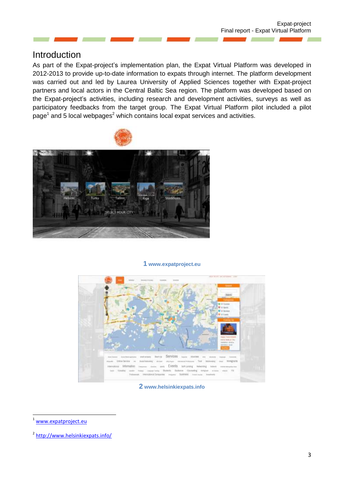### <span id="page-2-0"></span>Introduction

As part of the Expat-project's implementation plan, the Expat Virtual Platform was developed in 2012-2013 to provide up-to-date information to expats through internet. The platform development was carried out and led by Laurea University of Applied Sciences together with Expat-project partners and local actors in the Central Baltic Sea region. The platform was developed based on the Expat-project's activities, including research and development activities, surveys as well as participatory feedbacks from the target group. The Expat Virtual Platform pilot included a pilot page<sup>1</sup> and 5 local webpages<sup>2</sup> which contains local expat services and activities.



#### **1 www.expatproject.eu**



**2 www.helsinkiexpats.info**

1

[www.expatproject.eu](http://www.expatproject.eu/)

<sup>2</sup> <http://www.helsinkiexpats.info/>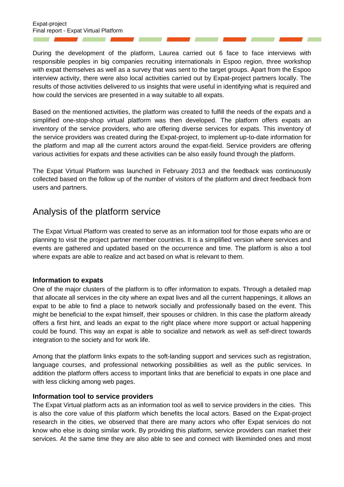During the development of the platform, Laurea carried out 6 face to face interviews with responsible peoples in big companies recruiting internationals in Espoo region, three workshop with expat themselves as well as a survey that was sent to the target groups. Apart from the Espoo interview activity, there were also local activities carried out by Expat-project partners locally. The results of those activities delivered to us insights that were useful in identifying what is required and how could the services are presented in a way suitable to all expats.

Based on the mentioned activities, the platform was created to fulfill the needs of the expats and a simplified one-stop-shop virtual platform was then developed. The platform offers expats an inventory of the service providers, who are offering diverse services for expats. This inventory of the service providers was created during the Expat-project, to implement up-to-date information for the platform and map all the current actors around the expat-field. Service providers are offering various activities for expats and these activities can be also easily found through the platform.

The Expat Virtual Platform was launched in February 2013 and the feedback was continuously collected based on the follow up of the number of visitors of the platform and direct feedback from users and partners.

## <span id="page-3-0"></span>Analysis of the platform service

The Expat Virtual Platform was created to serve as an information tool for those expats who are or planning to visit the project partner member countries. It is a simplified version where services and events are gathered and updated based on the occurrence and time. The platform is also a tool where expats are able to realize and act based on what is relevant to them.

#### <span id="page-3-1"></span>**Information to expats**

One of the major clusters of the platform is to offer information to expats. Through a detailed map that allocate all services in the city where an expat lives and all the current happenings, it allows an expat to be able to find a place to network socially and professionally based on the event. This might be beneficial to the expat himself, their spouses or children. In this case the platform already offers a first hint, and leads an expat to the right place where more support or actual happening could be found. This way an expat is able to socialize and network as well as self-direct towards integration to the society and for work life.

Among that the platform links expats to the soft-landing support and services such as registration, language courses, and professional networking possibilities as well as the public services. In addition the platform offers access to important links that are beneficial to expats in one place and with less clicking among web pages.

#### <span id="page-3-2"></span>**Information tool to service providers**

The Expat Virtual platform acts as an information tool as well to service providers in the cities. This is also the core value of this platform which benefits the local actors. Based on the Expat-project research in the cities, we observed that there are many actors who offer Expat services do not know who else is doing similar work. By providing this platform, service providers can market their services. At the same time they are also able to see and connect with likeminded ones and most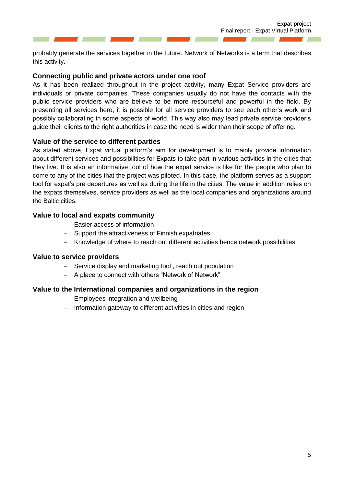probably generate the services together in the future. Network of Networks is a term that describes this activity.

#### <span id="page-4-0"></span>**Connecting public and private actors under one roof**

As it has been realized throughout in the project activity, many Expat Service providers are individuals or private companies. These companies usually do not have the contacts with the public service providers who are believe to be more resourceful and powerful in the field. By presenting all services here, it is possible for all service providers to see each other's work and possibly collaborating in some aspects of world. This way also may lead private service provider's guide their clients to the right authorities in case the need is wider than their scope of offering.

#### <span id="page-4-1"></span>**Value of the service to different parties**

As stated above, Expat virtual platform's aim for development is to mainly provide information about different services and possibilities for Expats to take part in various activities in the cities that they live. It is also an informative tool of how the expat service is like for the people who plan to come to any of the cities that the project was piloted. In this case, the platform serves as a support tool for expat's pre departures as well as during the life in the cities. The value in addition relies on the expats themselves, service providers as well as the local companies and organizations around the Baltic cities.

#### <span id="page-4-2"></span>**Value to local and expats community**

- Easier access of information
- Support the attractiveness of Finnish expatriates
- Knowledge of where to reach out different activities hence network possibilities

#### <span id="page-4-3"></span>**Value to service providers**

- Service display and marketing tool, reach out population
- A place to connect with others "Network of Network"

#### <span id="page-4-4"></span>**Value to the International companies and organizations in the region**

- Employees integration and wellbeing
- Information gateway to different activities in cities and region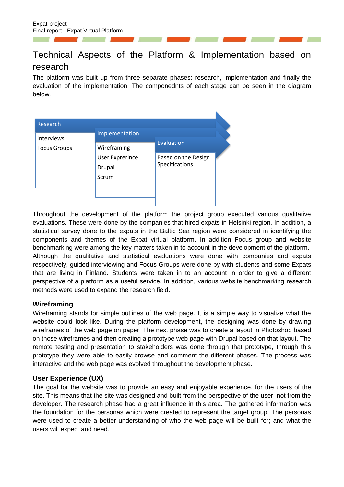# <span id="page-5-0"></span>Technical Aspects of the Platform & Implementation based on research

The platform was built up from three separate phases: research, implementation and finally the evaluation of the implementation. The componednts of each stage can be seen in the diagram below.

| Research            |                                           |                                       |  |
|---------------------|-------------------------------------------|---------------------------------------|--|
| <b>Interviews</b>   | Implementation                            |                                       |  |
| <b>Focus Groups</b> | Wireframing                               | Evaluation                            |  |
|                     | <b>User Exprerince</b><br>Drupal<br>Scrum | Based on the Design<br>Specifications |  |
|                     |                                           |                                       |  |

Throughout the development of the platform the project group executed various qualitative evaluations. These were done by the companies that hired expats in Helsinki region. In addition, a statistical survey done to the expats in the Baltic Sea region were considered in identifying the components and themes of the Expat virtual platform. In addition Focus group and website benchmarking were among the key matters taken in to account in the development of the platform. Although the qualitative and statistical evaluations were done with companies and expats respectively, guided interviewing and Focus Groups were done by with students and some Expats that are living in Finland. Students were taken in to an account in order to give a different perspective of a platform as a useful service. In addition, various website benchmarking research methods were used to expand the research field.

#### <span id="page-5-1"></span>**Wireframing**

Wireframing stands for simple outlines of the web page. It is a simple way to visualize what the website could look like. During the platform development, the designing was done by drawing wireframes of the web page on paper. The next phase was to create a layout in Photoshop based on those wireframes and then creating a prototype web page with Drupal based on that layout. The remote testing and presentation to stakeholders was done through that prototype, through this prototype they were able to easily browse and comment the different phases. The process was interactive and the web page was evolved throughout the development phase.

#### <span id="page-5-2"></span>**User Experience (UX)**

The goal for the website was to provide an easy and enjoyable experience, for the users of the site. This means that the site was designed and built from the perspective of the user, not from the developer. The research phase had a great influence in this area. The gathered information was the foundation for the personas which were created to represent the target group. The personas were used to create a better understanding of who the web page will be built for; and what the users will expect and need.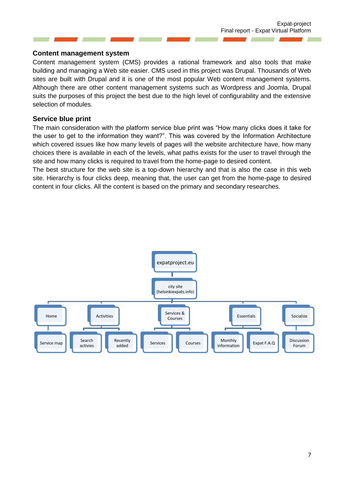#### <span id="page-6-0"></span>**Content management system**

Content management system (CMS) provides a rational framework and also tools that make building and managing a Web site easier. CMS used in this project was Drupal. Thousands of Web sites are built with Drupal and it is one of the most popular Web content management systems. Although there are other content management systems such as Wordpress and Joomla, Drupal suits the purposes of this project the best due to the high level of configurability and the extensive selection of modules.

#### <span id="page-6-1"></span>**Service blue print**

The main consideration with the platform service blue print was "How many clicks does it take for the user to get to the information they want?". This was covered by the Information Architecture which covered issues like how many levels of pages will the website architecture have, how many choices there is available in each of the levels, what paths exists for the user to travel through the site and how many clicks is required to travel from the home-page to desired content.

The best structure for the web site is a top-down hierarchy and that is also the case in this web site. Hierarchy is four clicks deep, meaning that, the user can get from the home-page to desired content in four clicks. All the content is based on the primary and secondary researches.

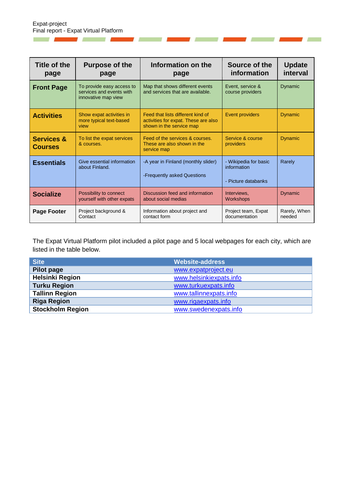W

 $\overline{1}$ 

**COMPANY** 

and the control of the control of the

| Title of the<br>page                    | <b>Purpose of the</b><br>page                                                | Information on the<br>page                                                                            | Source of the<br>information                                | <b>Update</b><br>interval |
|-----------------------------------------|------------------------------------------------------------------------------|-------------------------------------------------------------------------------------------------------|-------------------------------------------------------------|---------------------------|
| <b>Front Page</b>                       | To provide easy access to<br>services and events with<br>innovative map view | Map that shows different events<br>and services that are available.                                   | Event, service &<br>course providers                        | <b>Dynamic</b>            |
| <b>Activities</b>                       | Show expat activities in<br>more typical text-based<br>view                  | Feed that lists different kind of<br>activities for expat. These are also<br>shown in the service map | <b>Event providers</b>                                      | <b>Dynamic</b>            |
| <b>Services &amp;</b><br><b>Courses</b> | To list the expat services<br>& courses.                                     | Feed of the services & courses.<br>These are also shown in the<br>service map                         | Service & course<br>providers                               | <b>Dynamic</b>            |
| <b>Essentials</b>                       | Give essential information<br>about Finland.                                 | -A year in Finland (monthly slider)<br>-Frequently asked Questions                                    | - Wikipedia for basic<br>information<br>- Picture databanks | Rarely                    |
| <b>Socialize</b>                        | Possibility to connect<br>yourself with other expats                         | Discussion feed and information<br>about social medias                                                | Interviews,<br><b>Workshops</b>                             | <b>Dynamic</b>            |
| Page Footer                             | Project background &<br>Contact                                              | Information about project and<br>contact form                                                         | Project team, Expat<br>documentation                        | Rarely, When<br>needed    |

,

×

**Contract Contract** 

**A** 

**Contract Contract Street** 

and the contract of

The Expat Virtual Platform pilot included a pilot page and 5 local webpages for each city, which are listed in the table below.

| <b>Site</b>             | <b>Website-address</b>  |
|-------------------------|-------------------------|
| <b>Pilot page</b>       | www.expatproject.eu     |
| <b>Helsinki Region</b>  | www.helsinkiexpats.info |
| <b>Turku Region</b>     | www.turkuexpats.info    |
| <b>Tallinn Region</b>   | www.tallinnexpats.info  |
| <b>Riga Region</b>      | www.rigaexpats.info     |
| <b>Stockholm Region</b> | www.swedenexpats.info   |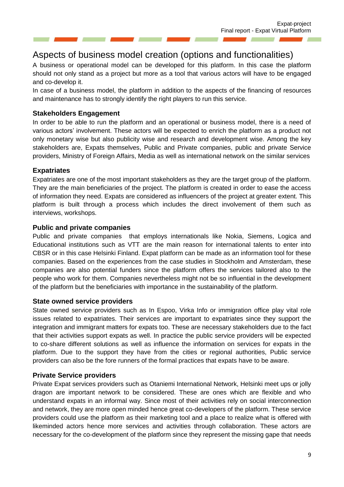# <span id="page-8-0"></span>Aspects of business model creation (options and functionalities)

A business or operational model can be developed for this platform. In this case the platform should not only stand as a project but more as a tool that various actors will have to be engaged and co-develop it.

In case of a business model, the platform in addition to the aspects of the financing of resources and maintenance has to strongly identify the right players to run this service.

#### <span id="page-8-1"></span>**Stakeholders Engagement**

In order to be able to run the platform and an operational or business model, there is a need of various actors' involvement. These actors will be expected to enrich the platform as a product not only monetary wise but also publicity wise and research and development wise. Among the key stakeholders are, Expats themselves, Public and Private companies, public and private Service providers, Ministry of Foreign Affairs, Media as well as international network on the similar services

#### <span id="page-8-2"></span>**Expatriates**

Expatriates are one of the most important stakeholders as they are the target group of the platform. They are the main beneficiaries of the project. The platform is created in order to ease the access of information they need. Expats are considered as influencers of the project at greater extent. This platform is built through a process which includes the direct involvement of them such as interviews, workshops.

#### <span id="page-8-3"></span>**Public and private companies**

Public and private companies that employs internationals like Nokia, Siemens, Logica and Educational institutions such as VTT are the main reason for international talents to enter into CBSR or in this case Helsinki Finland. Expat platform can be made as an information tool for these companies. Based on the experiences from the case studies in Stockholm and Amsterdam, these companies are also potential funders since the platform offers the services tailored also to the people who work for them. Companies nevertheless might not be so influential in the development of the platform but the beneficiaries with importance in the sustainability of the platform.

#### <span id="page-8-4"></span>**State owned service providers**

State owned service providers such as In Espoo, Virka Info or immigration office play vital role issues related to expatriates. Their services are important to expatriates since they support the integration and immigrant matters for expats too. These are necessary stakeholders due to the fact that their activities support expats as well. In practice the public service providers will be expected to co-share different solutions as well as influence the information on services for expats in the platform. Due to the support they have from the cities or regional authorities, Public service providers can also be the fore runners of the formal practices that expats have to be aware.

#### <span id="page-8-5"></span>**Private Service providers**

Private Expat services providers such as Otaniemi International Network, Helsinki meet ups or jolly dragon are important network to be considered. These are ones which are flexible and who understand expats in an informal way. Since most of their activities rely on social interconnection and network, they are more open minded hence great co-developers of the platform. These service providers could use the platform as their marketing tool and a place to realize what is offered with likeminded actors hence more services and activities through collaboration. These actors are necessary for the co-development of the platform since they represent the missing gape that needs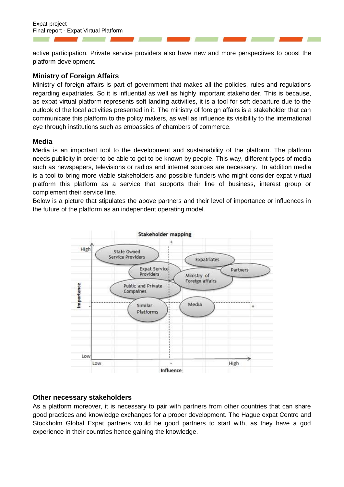active participation. Private service providers also have new and more perspectives to boost the platform development.

#### <span id="page-9-0"></span>**Ministry of Foreign Affairs**

Ministry of foreign affairs is part of government that makes all the policies, rules and regulations regarding expatriates. So it is influential as well as highly important stakeholder. This is because, as expat virtual platform represents soft landing activities, it is a tool for soft departure due to the outlook of the local activities presented in it. The ministry of foreign affairs is a stakeholder that can communicate this platform to the policy makers, as well as influence its visibility to the international eye through institutions such as embassies of chambers of commerce.

#### <span id="page-9-1"></span>**Media**

Media is an important tool to the development and sustainability of the platform. The platform needs publicity in order to be able to get to be known by people. This way, different types of media such as newspapers, televisions or radios and internet sources are necessary. In addition media is a tool to bring more viable stakeholders and possible funders who might consider expat virtual platform this platform as a service that supports their line of business, interest group or complement their service line.

Below is a picture that stipulates the above partners and their level of importance or influences in the future of the platform as an independent operating model.



#### <span id="page-9-2"></span>**Other necessary stakeholders**

As a platform moreover, it is necessary to pair with partners from other countries that can share good practices and knowledge exchanges for a proper development. The Hague expat Centre and Stockholm Global Expat partners would be good partners to start with, as they have a god experience in their countries hence gaining the knowledge.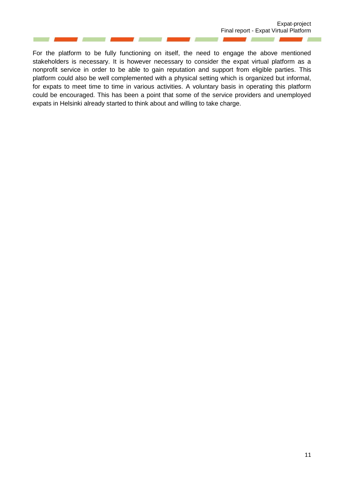For the platform to be fully functioning on itself, the need to engage the above mentioned stakeholders is necessary. It is however necessary to consider the expat virtual platform as a nonprofit service in order to be able to gain reputation and support from eligible parties. This platform could also be well complemented with a physical setting which is organized but informal, for expats to meet time to time in various activities. A voluntary basis in operating this platform could be encouraged. This has been a point that some of the service providers and unemployed expats in Helsinki already started to think about and willing to take charge.

П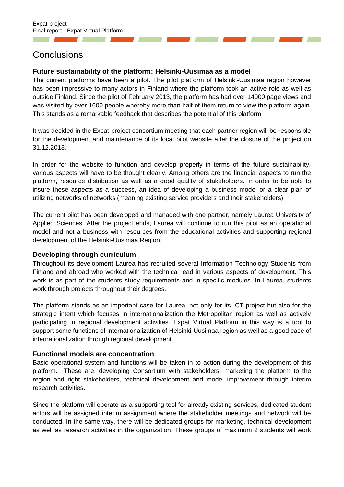## <span id="page-11-0"></span>**Conclusions**

#### <span id="page-11-1"></span>**Future sustainability of the platform: Helsinki-Uusimaa as a model**

The current platforms have been a pilot. The pilot platform of Helsinki-Uusimaa region however has been impressive to many actors in Finland where the platform took an active role as well as outside Finland. Since the pilot of February 2013, the platform has had over 14000 page views and was visited by over 1600 people whereby more than half of them return to view the platform again. This stands as a remarkable feedback that describes the potential of this platform.

It was decided in the Expat-project consortium meeting that each partner region will be responsible for the development and maintenance of its local pilot website after the closure of the project on 31.12.2013.

In order for the website to function and develop properly in terms of the future sustainability, various aspects will have to be thought clearly. Among others are the financial aspects to run the platform, resource distribution as well as a good quality of stakeholders. In order to be able to insure these aspects as a success, an idea of developing a business model or a clear plan of utilizing networks of networks (meaning existing service providers and their stakeholders).

The current pilot has been developed and managed with one partner, namely Laurea University of Applied Sciences. After the project ends, Laurea will continue to run this pilot as an operational model and not a business with resources from the educational activities and supporting regional development of the Helsinki-Uusimaa Region.

#### <span id="page-11-2"></span>**Developing through curriculum**

Throughout its development Laurea has recruited several Information Technology Students from Finland and abroad who worked with the technical lead in various aspects of development. This work is as part of the students study requirements and in specific modules. In Laurea, students work through projects throughout their degrees.

The platform stands as an important case for Laurea, not only for its ICT project but also for the strategic intent which focuses in internationalization the Metropolitan region as well as actively participating in regional development activities. Expat Virtual Platform in this way is a tool to support some functions of internationalization of Helsinki-Uusimaa region as well as a good case of internationalization through regional development.

#### <span id="page-11-3"></span>**Functional models are concentration**

Basic operational system and functions will be taken in to action during the development of this platform. These are, developing Consortium with stakeholders, marketing the platform to the region and right stakeholders, technical development and model improvement through interim research activities.

Since the platform will operate as a supporting tool for already existing services, dedicated student actors will be assigned interim assignment where the stakeholder meetings and network will be conducted. In the same way, there will be dedicated groups for marketing, technical development as well as research activities in the organization. These groups of maximum 2 students will work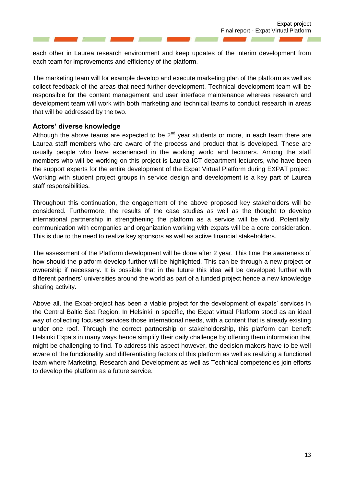each other in Laurea research environment and keep updates of the interim development from each team for improvements and efficiency of the platform.

The marketing team will for example develop and execute marketing plan of the platform as well as collect feedback of the areas that need further development. Technical development team will be responsible for the content management and user interface maintenance whereas research and development team will work with both marketing and technical teams to conduct research in areas that will be addressed by the two.

#### <span id="page-12-0"></span>**Actors' diverse knowledge**

Although the above teams are expected to be  $2<sup>nd</sup>$  year students or more, in each team there are Laurea staff members who are aware of the process and product that is developed. These are usually people who have experienced in the working world and lecturers. Among the staff members who will be working on this project is Laurea ICT department lecturers, who have been the support experts for the entire development of the Expat Virtual Platform during EXPAT project. Working with student project groups in service design and development is a key part of Laurea staff responsibilities.

Throughout this continuation, the engagement of the above proposed key stakeholders will be considered. Furthermore, the results of the case studies as well as the thought to develop international partnership in strengthening the platform as a service will be vivid. Potentially, communication with companies and organization working with expats will be a core consideration. This is due to the need to realize key sponsors as well as active financial stakeholders.

The assessment of the Platform development will be done after 2 year. This time the awareness of how should the platform develop further will be highlighted. This can be through a new project or ownership if necessary. It is possible that in the future this idea will be developed further with different partners' universities around the world as part of a funded project hence a new knowledge sharing activity.

Above all, the Expat-project has been a viable project for the development of expats' services in the Central Baltic Sea Region. In Helsinki in specific, the Expat virtual Platform stood as an ideal way of collecting focused services those international needs, with a content that is already existing under one roof. Through the correct partnership or stakeholdership, this platform can benefit Helsinki Expats in many ways hence simplify their daily challenge by offering them information that might be challenging to find. To address this aspect however, the decision makers have to be well aware of the functionality and differentiating factors of this platform as well as realizing a functional team where Marketing, Research and Development as well as Technical competencies join efforts to develop the platform as a future service.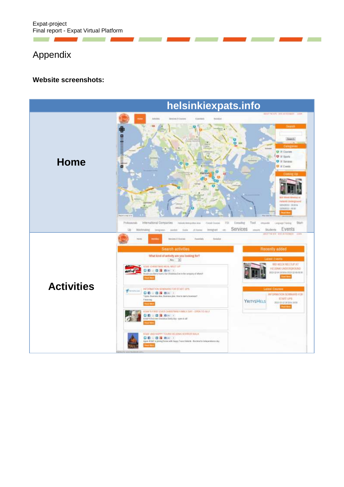Expat-project Final report - Expat Virtual Platform

# <span id="page-13-0"></span>Appendix

77

m.

#### <span id="page-13-1"></span>**Website screenshots:**

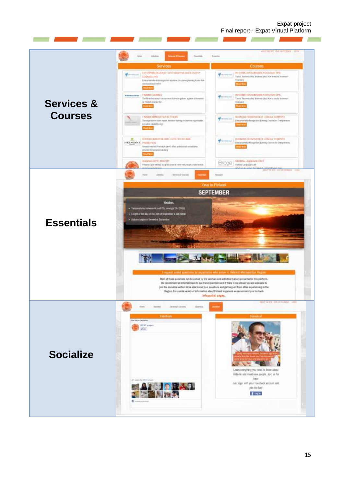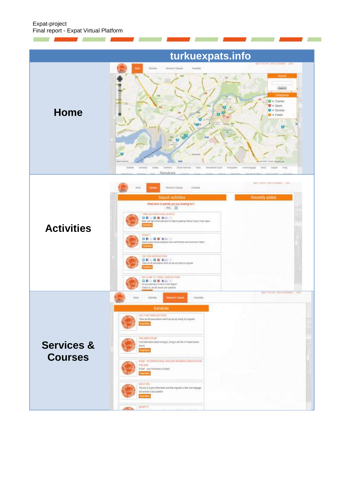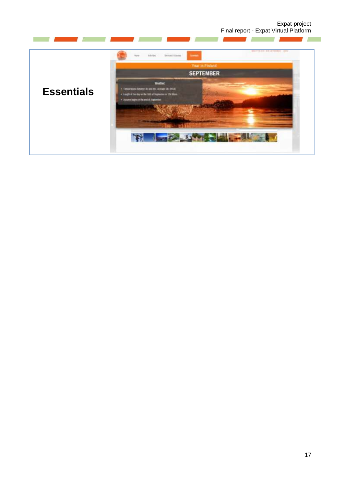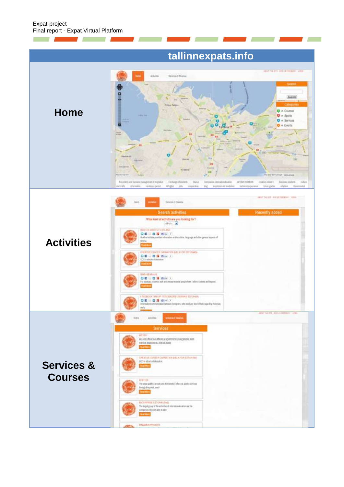П

A.

# **tallinnexpats.info**

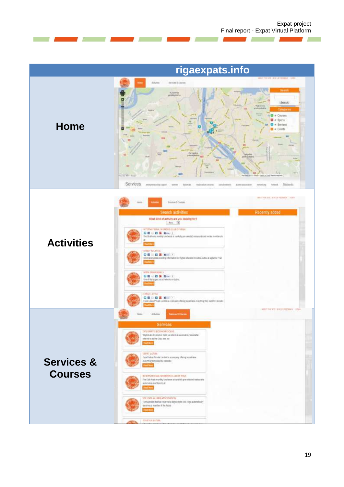Ï

and the company

<u>and the company of the company of the company of the company of the company of the company of the company of the company of the company of the company of the company of the company of the company of the company of the com</u>

 $\sim$  11

|                                         | rigaexpats.info                                                                                                                                                                                                                                                                                                                                                                                                                                                                                                                                                                                                                                                                                                                                                          |
|-----------------------------------------|--------------------------------------------------------------------------------------------------------------------------------------------------------------------------------------------------------------------------------------------------------------------------------------------------------------------------------------------------------------------------------------------------------------------------------------------------------------------------------------------------------------------------------------------------------------------------------------------------------------------------------------------------------------------------------------------------------------------------------------------------------------------------|
| <b>Home</b>                             | about the price design to come - come<br>Arkens<br>breker if Darten<br><b>Sean</b><br>Katsmen<br><b>JP NAVIGINATIO</b><br>Seath.<br><b>Yiliman</b><br>tehipikala<br># Courses<br>$\mathbf{\nabla}$ $\mathbf{e}$ Sports<br>$Q =$ Services<br><b>D</b> = Events<br>Zongalis<br>pretapivė<br>atgale<br>ЮI<br><b>WIL</b><br>w<br>e<br>and RETT Fried<br>via (Tenta)<br>19 8 10 8 8 9 10<br>Services<br>Stutents<br>datorate. Statistics records<br>Teleck<br>Insperantist control<br>seta news:<br>dimanuales.<br><b>Networking</b><br><b>SCIENT</b>                                                                                                                                                                                                                         |
| <b>Activities</b>                       | MATT FOR RISK, WIN 24 FOUNDATION CORP.<br>timyinto O Courses<br>Recently added<br>Search activities<br>What kind of activity are you looking for?<br>$-401 - 3$<br>NITIMATIONAL MUMENTS SUIT OF RIGHT<br>口的印度 医 的一个<br>The Club hours in wettig key check at countably pre weed between the section members to<br>RELEVISIATION<br>□ 四 三 四 端 四 一 三<br>Memalian partial providing information on: Higher relucation to Labour, Lebrarat a glassics, Prac-<br>WWW. DISAUGURALV.<br>口の川 ほ 語 のーー<br>One of the target social networks in Labria.<br><b>EMATLETUM</b><br><b>CDIDE SIDE</b><br>Expattable Private Lindad is a remainly offering would late weapting they well for returning<br>- 1                                                                             |
| <b>Services &amp;</b><br><b>Courses</b> | WELL HERZE SIX IS LITERARY CON-<br>Artyless<br>Saleima D Chairm<br><b>Hotel</b><br>Services.<br>DRUMMENT COONCINED CLUB<br>"Digitorially basebare plate", an informal assessint or, handihaller<br>whered is as the Club, non not<br><b><i><u>Institute</u></i></b><br>EXPAT LATVIA<br>Espai Lidvia Prode condivi la a conservo disning españalos.<br>manything they read for columns.<br>met Mo<br><b>NITERNATIONAL WOMEN'S CLLIB OF HIGH</b><br>The Clid finals monthly luxelinees at carshally pre-selected sustainants:<br>and in kind remembers to all.<br><b>Insult Inkry</b><br>SEE PASA ALLIMIN ASSOCIATION<br>Every protect that has received a degree from SIAE Higa automatically<br>terines a nexter if the Aqua<br><b>TELE 1800</b><br><b>ETUDY BLLATVA</b> |

and the state of the state of the state of the

T.

7

**The Contract of the Contract of the Contract of the Contract of the Contract of the Contract of the Contract o**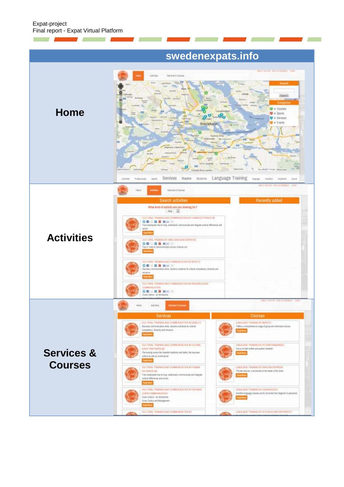**COL** 

**Marian Barnet** 

# **swedenexpats.info**

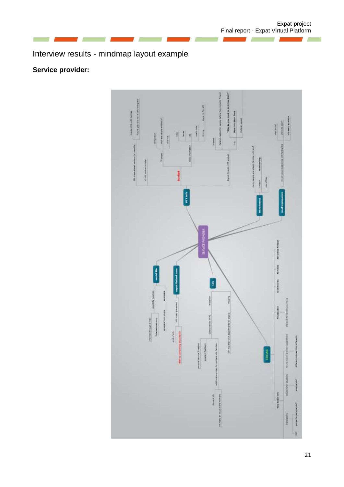# <span id="page-20-0"></span>Interview results - mindmap layout example

# <span id="page-20-1"></span>**Service provider:**

П

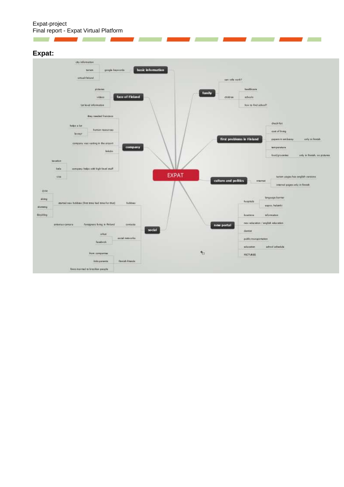#### Expat-project Final report - Expat Virtual Platform

#### <span id="page-21-0"></span>**Expat:**

 $\sim$   $\sim$ 



<u>and the company of the company of the company of the company of the company of the company of the company of the company of the company of the company of the company of the company of the company of the company of the com</u>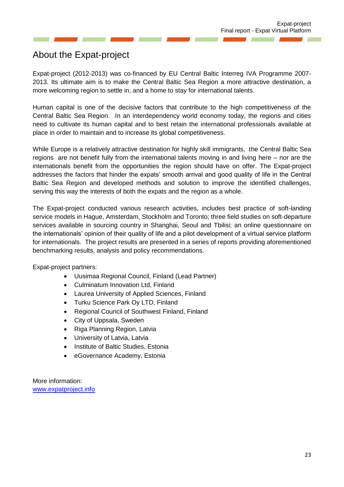# <span id="page-22-0"></span>About the Expat-project

Expat-project (2012-2013) was co-financed by EU Central Baltic Interreg IVA Programme 2007- 2013. Its ultimate aim is to make the Central Baltic Sea Region a more attractive destination, a more welcoming region to settle in, and a home to stay for international talents.

Human capital is one of the decisive factors that contribute to the high competitiveness of the Central Baltic Sea Region. In an interdependency world economy today, the regions and cities need to cultivate its human capital and to best retain the international professionals available at place in order to maintain and to increase its global competitiveness.

While Europe is a relatively attractive destination for highly skill immigrants, the Central Baltic Sea regions are not benefit fully from the international talents moving in and living here – nor are the internationals benefit from the opportunities the region should have on offer. The Expat-project addresses the factors that hinder the expats' smooth arrival and good quality of life in the Central Baltic Sea Region and developed methods and solution to improve the identified challenges, serving this way the interests of both the expats and the region as a whole.

The Expat-project conducted various research activities, includes best practice of soft-landing service models in Hague, Amsterdam, Stockholm and Toronto; three field studies on soft-departure services available in sourcing country in Shanghai, Seoul and Tbilisi; an online questionnaire on the internationals' opinion of their quality of life and a pilot development of a virtual service platform for internationals. The project results are presented in a series of reports providing aforementioned benchmarking results, analysis and policy recommendations.

Expat-project partners:

- Uusimaa Regional Council, Finland (Lead Partner)
- Culminatum Innovation Ltd, Finland
- Laurea University of Applied Sciences, Finland
- Turku Science Park Oy LTD, Finland
- Regional Council of Southwest Finland, Finland
- City of Uppsala, Sweden
- Riga Planning Region, Latvia
- University of Latvia, Latvia
- Institute of Baltic Studies, Estonia
- eGovernance Academy, Estonia

More information: [www.expatproject.info](http://www.expatproject.info/)